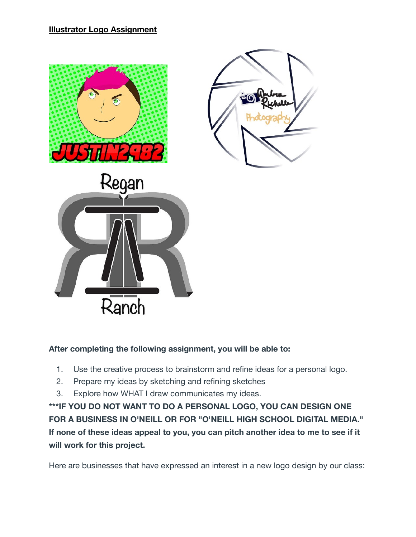

## **After completing the following assignment, you will be able to:**

- 1. Use the creative process to brainstorm and refine ideas for a personal logo.
- 2. Prepare my ideas by sketching and refining sketches
- 3. Explore how WHAT I draw communicates my ideas.

**\*\*\*IF YOU DO NOT WANT TO DO A PERSONAL LOGO, YOU CAN DESIGN ONE FOR A BUSINESS IN O'NEILL OR FOR "O'NEILL HIGH SCHOOL DIGITAL MEDIA." If none of these ideas appeal to you, you can pitch another idea to me to see if it will work for this project.**

Here are businesses that have expressed an interest in a new logo design by our class: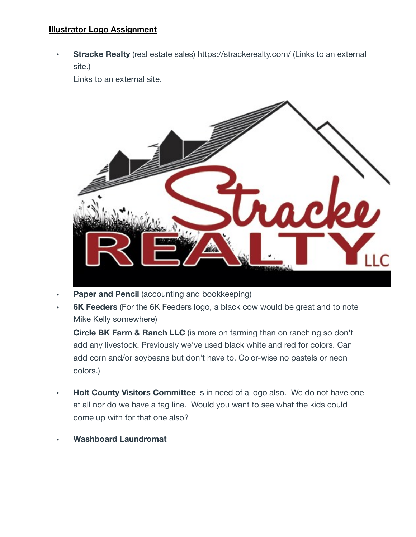**Stracke Realty** (real estate sales) <https://strackerealty.com/> (Links to an external [site.\)](https://strackerealty.com/)

[Links to an external site.](https://strackerealty.com/)



- **Paper and Pencil** (accounting and bookkeeping)
- **• 6K Feeders** (For the 6K Feeders logo, a black cow would be great and to note Mike Kelly somewhere)

**Circle BK Farm & Ranch LLC** (is more on farming than on ranching so don't add any livestock. Previously we've used black white and red for colors. Can add corn and/or soybeans but don't have to. Color-wise no pastels or neon colors.)

- **• Holt County Visitors Committee** is in need of a logo also. We do not have one at all nor do we have a tag line. Would you want to see what the kids could come up with for that one also?
- **• Washboard Laundromat**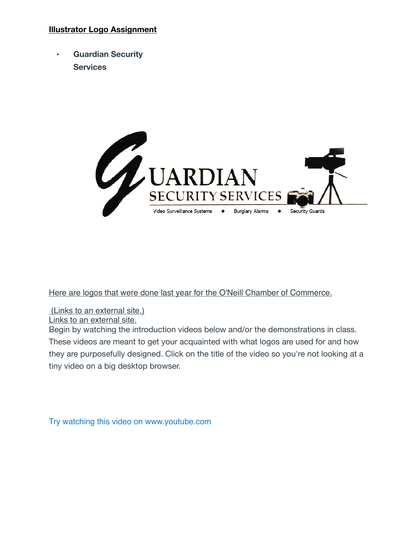**• Guardian Security Services**



[Here are logos that were done last year for the O'Neill Chamber of Commerce.](https://drive.google.com/drive/folders/1AeWX58Mk_8QGZBM9meKykFOkcTTH7sL7?usp=sharing)

[\(Links to an external site.\)](https://drive.google.com/drive/folders/1AeWX58Mk_8QGZBM9meKykFOkcTTH7sL7?usp=sharing)

[Links to an external site.](https://drive.google.com/drive/folders/1AeWX58Mk_8QGZBM9meKykFOkcTTH7sL7?usp=sharing)

Begin by watching the introduction videos below and/or the demonstrations in class. These videos are meant to get your acquainted with what logos are used for and how they are purposefully designed. Click on the title of the video so you're not looking at a tiny video on a big desktop browser.

[Try watching this video on www.youtube.com](http://www.youtube.com/watch?v=x3jTSB2ez-g)